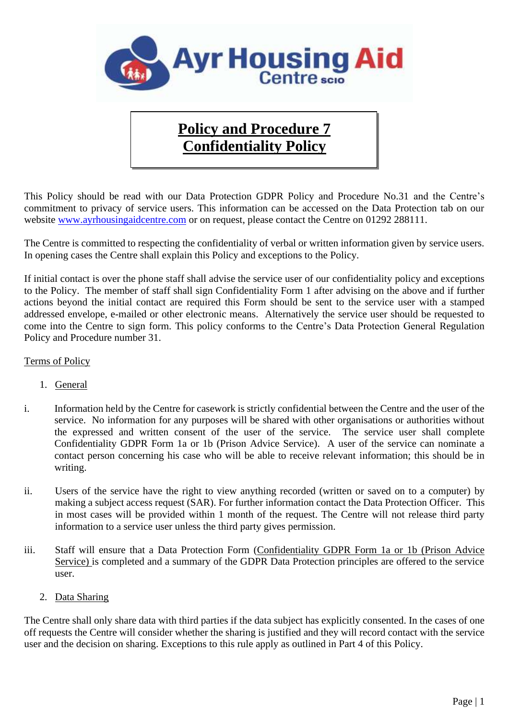

## **Policy and Procedure 7 Confidentiality Policy**

This Policy should be read with our Data Protection GDPR Policy and Procedure No.31 and the Centre's commitment to privacy of service users. This information can be accessed on the Data Protection tab on our website [www.ayrhousingaidcentre.com](http://www.ayrhousingaidcentre.com/) or on request, please contact the Centre on 01292 288111.

The Centre is committed to respecting the confidentiality of verbal or written information given by service users. In opening cases the Centre shall explain this Policy and exceptions to the Policy.

If initial contact is over the phone staff shall advise the service user of our confidentiality policy and exceptions to the Policy. The member of staff shall sign Confidentiality Form 1 after advising on the above and if further actions beyond the initial contact are required this Form should be sent to the service user with a stamped addressed envelope, e-mailed or other electronic means. Alternatively the service user should be requested to come into the Centre to sign form. This policy conforms to the Centre's Data Protection General Regulation Policy and Procedure number 31.

## Terms of Policy

- 1. General
- i. Information held by the Centre for casework is strictly confidential between the Centre and the user of the service. No information for any purposes will be shared with other organisations or authorities without the expressed and written consent of the user of the service. The service user shall complete Confidentiality GDPR Form 1a or 1b (Prison Advice Service). A user of the service can nominate a contact person concerning his case who will be able to receive relevant information; this should be in writing.
- ii. Users of the service have the right to view anything recorded (written or saved on to a computer) by making a subject access request (SAR). For further information contact the Data Protection Officer. This in most cases will be provided within 1 month of the request. The Centre will not release third party information to a service user unless the third party gives permission.
- iii. Staff will ensure that a Data Protection Form (Confidentiality GDPR Form 1a or 1b (Prison Advice Service) is completed and a summary of the GDPR Data Protection principles are offered to the service user.
	- 2. Data Sharing

The Centre shall only share data with third parties if the data subject has explicitly consented. In the cases of one off requests the Centre will consider whether the sharing is justified and they will record contact with the service user and the decision on sharing. Exceptions to this rule apply as outlined in Part 4 of this Policy.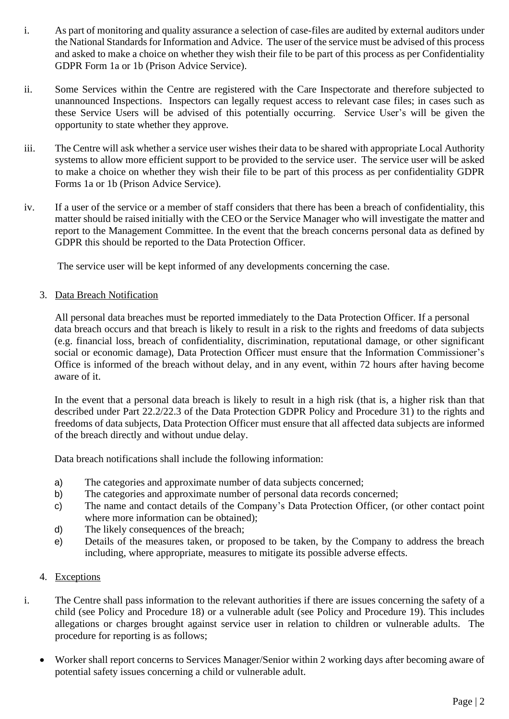- i. As part of monitoring and quality assurance a selection of case-files are audited by external auditors under the National Standards for Information and Advice. The user of the service must be advised of this process and asked to make a choice on whether they wish their file to be part of this process as per Confidentiality GDPR Form 1a or 1b (Prison Advice Service).
- ii. Some Services within the Centre are registered with the Care Inspectorate and therefore subjected to unannounced Inspections. Inspectors can legally request access to relevant case files; in cases such as these Service Users will be advised of this potentially occurring. Service User's will be given the opportunity to state whether they approve.
- iii. The Centre will ask whether a service user wishes their data to be shared with appropriate Local Authority systems to allow more efficient support to be provided to the service user. The service user will be asked to make a choice on whether they wish their file to be part of this process as per confidentiality GDPR Forms 1a or 1b (Prison Advice Service).
- iv. If a user of the service or a member of staff considers that there has been a breach of confidentiality, this matter should be raised initially with the CEO or the Service Manager who will investigate the matter and report to the Management Committee. In the event that the breach concerns personal data as defined by GDPR this should be reported to the Data Protection Officer.

The service user will be kept informed of any developments concerning the case.

3. Data Breach Notification

All personal data breaches must be reported immediately to the Data Protection Officer. If a personal data breach occurs and that breach is likely to result in a risk to the rights and freedoms of data subjects (e.g. financial loss, breach of confidentiality, discrimination, reputational damage, or other significant social or economic damage), Data Protection Officer must ensure that the Information Commissioner's Office is informed of the breach without delay, and in any event, within 72 hours after having become aware of it.

In the event that a personal data breach is likely to result in a high risk (that is, a higher risk than that described under Part 22.2/22.3 of the Data Protection GDPR Policy and Procedure 31) to the rights and freedoms of data subjects, Data Protection Officer must ensure that all affected data subjects are informed of the breach directly and without undue delay.

Data breach notifications shall include the following information:

- a) The categories and approximate number of data subjects concerned;
- b) The categories and approximate number of personal data records concerned;
- c) The name and contact details of the Company's Data Protection Officer, (or other contact point where more information can be obtained);
- d) The likely consequences of the breach;
- e) Details of the measures taken, or proposed to be taken, by the Company to address the breach including, where appropriate, measures to mitigate its possible adverse effects.

## 4. Exceptions

- i. The Centre shall pass information to the relevant authorities if there are issues concerning the safety of a child (see Policy and Procedure 18) or a vulnerable adult (see Policy and Procedure 19). This includes allegations or charges brought against service user in relation to children or vulnerable adults. The procedure for reporting is as follows;
	- Worker shall report concerns to Services Manager/Senior within 2 working days after becoming aware of potential safety issues concerning a child or vulnerable adult.